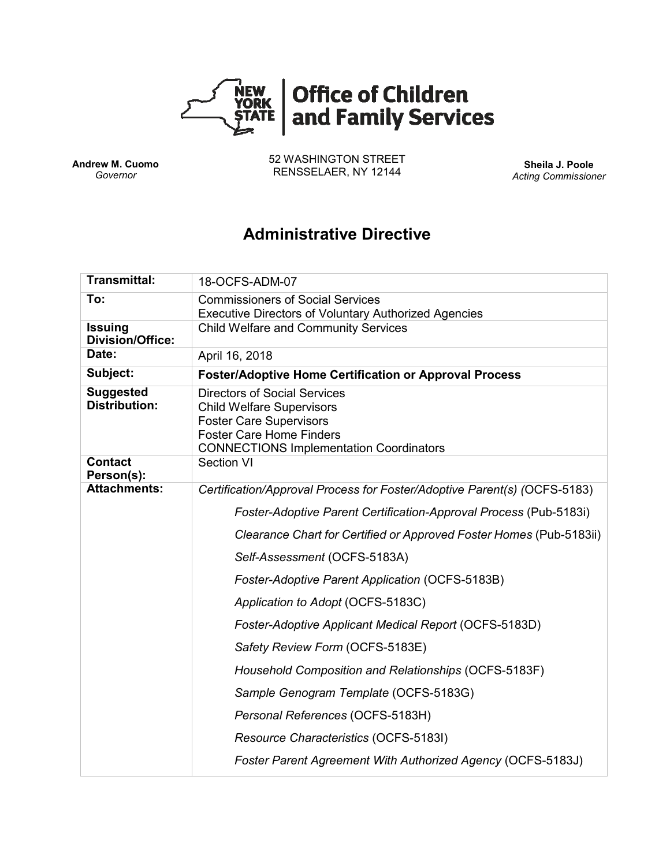

**Andrew M. Cuomo** *Governor*

52 WASHINGTON STREET RENSSELAER, NY 12144 **Sheila J. Poole**

*Acting Commissioner*

# **Administrative Directive**

| <b>Transmittal:</b>                       | 18-OCFS-ADM-07                                                                                                                                                                                 |  |  |  |  |  |
|-------------------------------------------|------------------------------------------------------------------------------------------------------------------------------------------------------------------------------------------------|--|--|--|--|--|
| To:                                       | <b>Commissioners of Social Services</b><br><b>Executive Directors of Voluntary Authorized Agencies</b>                                                                                         |  |  |  |  |  |
| <b>Issuing</b><br><b>Division/Office:</b> | <b>Child Welfare and Community Services</b>                                                                                                                                                    |  |  |  |  |  |
| Date:                                     | April 16, 2018                                                                                                                                                                                 |  |  |  |  |  |
| Subject:                                  | <b>Foster/Adoptive Home Certification or Approval Process</b>                                                                                                                                  |  |  |  |  |  |
| <b>Suggested</b><br><b>Distribution:</b>  | <b>Directors of Social Services</b><br><b>Child Welfare Supervisors</b><br><b>Foster Care Supervisors</b><br><b>Foster Care Home Finders</b><br><b>CONNECTIONS Implementation Coordinators</b> |  |  |  |  |  |
| <b>Contact</b><br>Person(s):              | <b>Section VI</b>                                                                                                                                                                              |  |  |  |  |  |
| <b>Attachments:</b>                       | Certification/Approval Process for Foster/Adoptive Parent(s) (OCFS-5183)                                                                                                                       |  |  |  |  |  |
|                                           | Foster-Adoptive Parent Certification-Approval Process (Pub-5183i)                                                                                                                              |  |  |  |  |  |
|                                           | Clearance Chart for Certified or Approved Foster Homes (Pub-5183ii)                                                                                                                            |  |  |  |  |  |
|                                           | Self-Assessment (OCFS-5183A)                                                                                                                                                                   |  |  |  |  |  |
|                                           | Foster-Adoptive Parent Application (OCFS-5183B)                                                                                                                                                |  |  |  |  |  |
|                                           | Application to Adopt (OCFS-5183C)                                                                                                                                                              |  |  |  |  |  |
|                                           | Foster-Adoptive Applicant Medical Report (OCFS-5183D)                                                                                                                                          |  |  |  |  |  |
|                                           | Safety Review Form (OCFS-5183E)                                                                                                                                                                |  |  |  |  |  |
|                                           | Household Composition and Relationships (OCFS-5183F)                                                                                                                                           |  |  |  |  |  |
|                                           | Sample Genogram Template (OCFS-5183G)                                                                                                                                                          |  |  |  |  |  |
|                                           | Personal References (OCFS-5183H)                                                                                                                                                               |  |  |  |  |  |
|                                           | Resource Characteristics (OCFS-5183I)                                                                                                                                                          |  |  |  |  |  |
|                                           | Foster Parent Agreement With Authorized Agency (OCFS-5183J)                                                                                                                                    |  |  |  |  |  |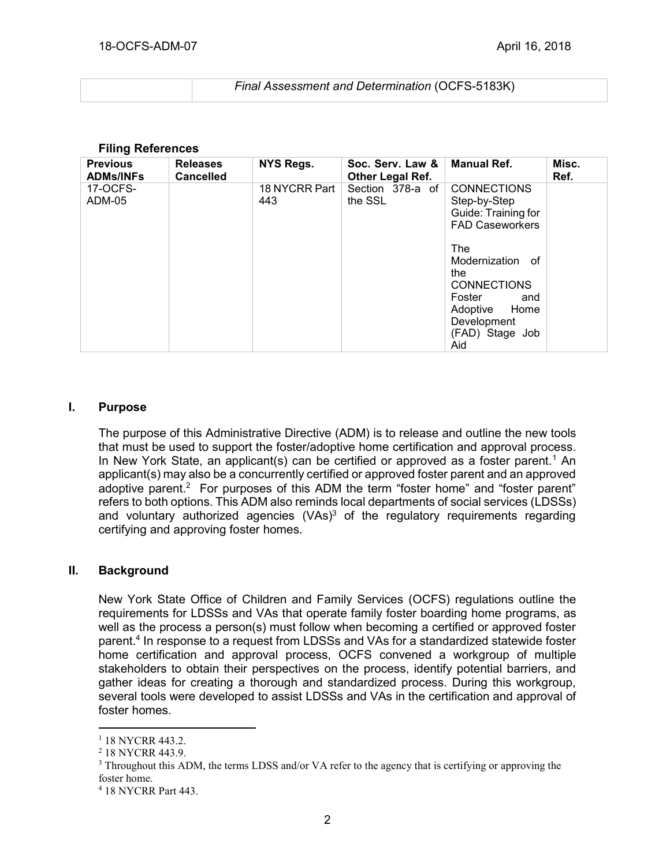| Final Assessment and Determination (OCFS-5183K) |
|-------------------------------------------------|
|                                                 |

#### **Filing References**

| <b>Previous</b><br><b>ADMs/INFs</b> | <b>Releases</b><br><b>Cancelled</b> | NYS Regs.            | Soc. Serv. Law &<br>Other Legal Ref. | <b>Manual Ref.</b>                                                                                                                                                                                                     | Misc.<br>Ref. |
|-------------------------------------|-------------------------------------|----------------------|--------------------------------------|------------------------------------------------------------------------------------------------------------------------------------------------------------------------------------------------------------------------|---------------|
| 17-OCFS-<br>ADM-05                  |                                     | 18 NYCRR Part<br>443 | Section 378-a of<br>the SSL          | <b>CONNECTIONS</b><br>Step-by-Step<br>Guide: Training for<br><b>FAD Caseworkers</b><br>The<br>Modernization of<br>the<br><b>CONNECTIONS</b><br>Foster<br>and<br>Adoptive Home<br>Development<br>(FAD) Stage Job<br>Aid |               |

#### **I. Purpose**

The purpose of this Administrative Directive (ADM) is to release and outline the new tools that must be used to support the foster/adoptive home certification and approval process. In New York State, an applicant(s) can be certified or approved as a foster parent.<sup>1</sup> An applicant(s) may also be a concurrently certified or approved foster parent and an approved adoptive parent.<sup>2</sup> For purposes of this ADM the term "foster home" and "foster parent" refers to both options. This ADM also reminds local departments of social services (LDSSs) and voluntary authorized agencies  $(VAs)^3$  of the regulatory requirements regarding certifying and approving foster homes.

#### **II. Background**

New York State Office of Children and Family Services (OCFS) regulations outline the requirements for LDSSs and VAs that operate family foster boarding home programs, as well as the process a person(s) must follow when becoming a certified or approved foster parent. 4 In response to a request from LDSSs and VAs for a standardized statewide foster home certification and approval process, OCFS convened a workgroup of multiple stakeholders to obtain their perspectives on the process, identify potential barriers, and gather ideas for creating a thorough and standardized process. During this workgroup, several tools were developed to assist LDSSs and VAs in the certification and approval of foster homes.

<sup>&</sup>lt;sup>1</sup> 18 NYCRR 443.2.

<sup>2</sup> 18 NYCRR 443.9.

<sup>&</sup>lt;sup>3</sup> Throughout this ADM, the terms LDSS and/or VA refer to the agency that is certifying or approving the foster home.

<sup>4</sup> 18 NYCRR Part 443.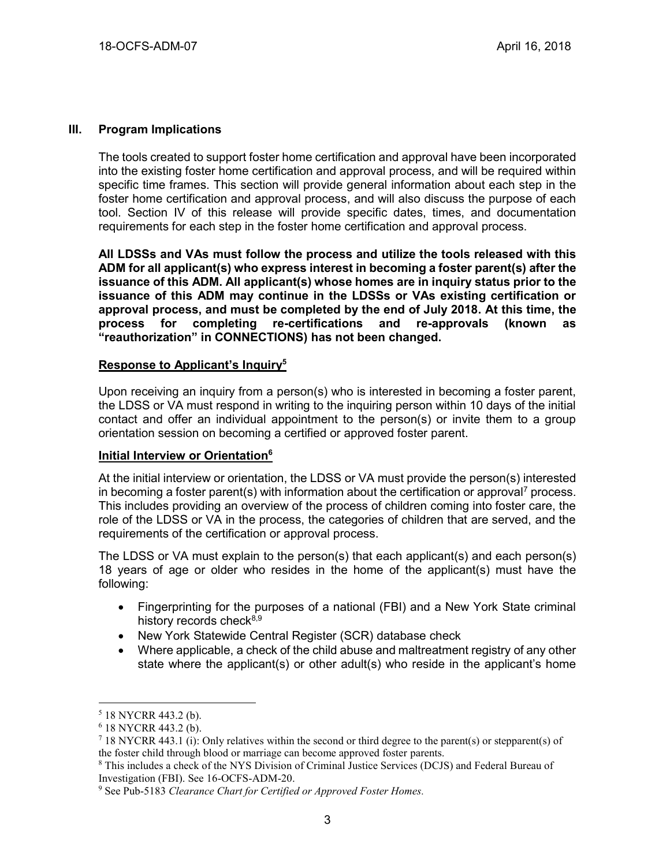#### **III. Program Implications**

The tools created to support foster home certification and approval have been incorporated into the existing foster home certification and approval process, and will be required within specific time frames. This section will provide general information about each step in the foster home certification and approval process, and will also discuss the purpose of each tool. Section IV of this release will provide specific dates, times, and documentation requirements for each step in the foster home certification and approval process.

**All LDSSs and VAs must follow the process and utilize the tools released with this ADM for all applicant(s) who express interest in becoming a foster parent(s) after the issuance of this ADM. All applicant(s) whose homes are in inquiry status prior to the issuance of this ADM may continue in the LDSSs or VAs existing certification or approval process, and must be completed by the end of July 2018. At this time, the process for completing re-certifications and re-approvals (known as "reauthorization" in CONNECTIONS) has not been changed.**

#### **Response to Applicant's Inquiry<sup>5</sup>**

Upon receiving an inquiry from a person(s) who is interested in becoming a foster parent, the LDSS or VA must respond in writing to the inquiring person within 10 days of the initial contact and offer an individual appointment to the person(s) or invite them to a group orientation session on becoming a certified or approved foster parent.

#### **Initial Interview or Orientation<sup>6</sup>**

At the initial interview or orientation, the LDSS or VA must provide the person(s) interested in becoming a foster parent(s) with information about the certification or approval<sup>7</sup> process. This includes providing an overview of the process of children coming into foster care, the role of the LDSS or VA in the process, the categories of children that are served, and the requirements of the certification or approval process.

The LDSS or VA must explain to the person(s) that each applicant(s) and each person(s) 18 years of age or older who resides in the home of the applicant(s) must have the following:

- Fingerprinting for the purposes of a national (FBI) and a New York State criminal history records check $8,9$
- New York Statewide Central Register (SCR) database check
- Where applicable, a check of the child abuse and maltreatment registry of any other state where the applicant(s) or other adult(s) who reside in the applicant's home

<sup>5</sup> 18 NYCRR 443.2 (b).

<sup>6</sup> 18 NYCRR 443.2 (b).

<sup>7</sup> 18 NYCRR 443.1 (i): Only relatives within the second or third degree to the parent(s) or stepparent(s) of the foster child through blood or marriage can become approved foster parents.

<sup>8</sup> This includes a check of the NYS Division of Criminal Justice Services (DCJS) and Federal Bureau of Investigation (FBI). See 16-OCFS-ADM-20.

<sup>9</sup> See Pub-5183 *Clearance Chart for Certified or Approved Foster Homes.*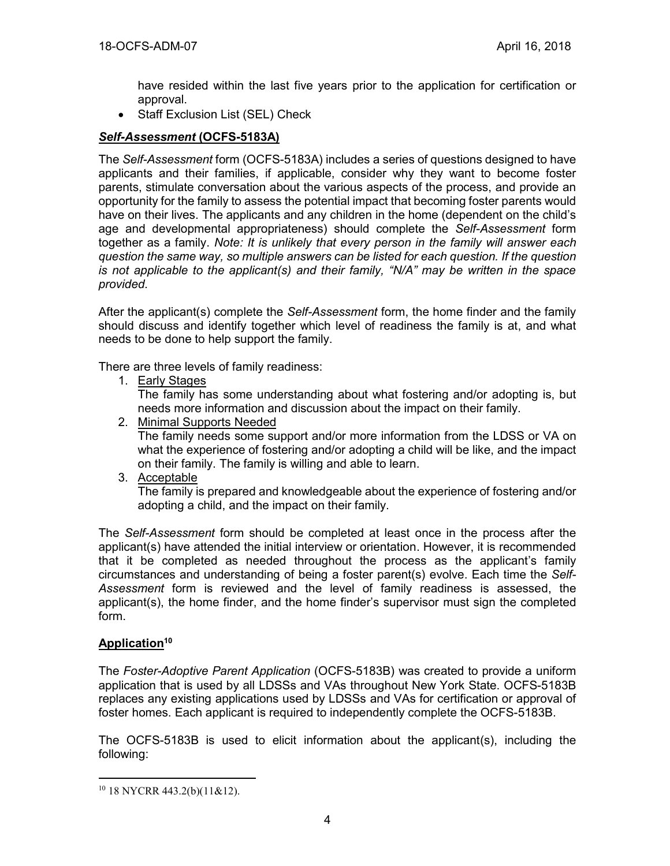have resided within the last five years prior to the application for certification or approval.

Staff Exclusion List (SEL) Check

## *Self-Assessment* **(OCFS-5183A)**

The *Self-Assessment* form (OCFS-5183A) includes a series of questions designed to have applicants and their families, if applicable, consider why they want to become foster parents, stimulate conversation about the various aspects of the process, and provide an opportunity for the family to assess the potential impact that becoming foster parents would have on their lives. The applicants and any children in the home (dependent on the child's age and developmental appropriateness) should complete the *Self-Assessment* form together as a family. *Note: It is unlikely that every person in the family will answer each question the same way, so multiple answers can be listed for each question. If the question is not applicable to the applicant(s) and their family, "N/A" may be written in the space provided.*

After the applicant(s) complete the *Self-Assessment* form, the home finder and the family should discuss and identify together which level of readiness the family is at, and what needs to be done to help support the family.

There are three levels of family readiness:

1. Early Stages

The family has some understanding about what fostering and/or adopting is, but needs more information and discussion about the impact on their family.

- 2. Minimal Supports Needed The family needs some support and/or more information from the LDSS or VA on what the experience of fostering and/or adopting a child will be like, and the impact on their family. The family is willing and able to learn.
- 3. Acceptable

The family is prepared and knowledgeable about the experience of fostering and/or adopting a child, and the impact on their family.

The *Self-Assessment* form should be completed at least once in the process after the applicant(s) have attended the initial interview or orientation. However, it is recommended that it be completed as needed throughout the process as the applicant's family circumstances and understanding of being a foster parent(s) evolve. Each time the *Self-Assessment* form is reviewed and the level of family readiness is assessed, the applicant(s), the home finder, and the home finder's supervisor must sign the completed form.

# **Application<sup>10</sup>**

 $\overline{a}$ 

The *Foster-Adoptive Parent Application* (OCFS-5183B) was created to provide a uniform application that is used by all LDSSs and VAs throughout New York State. OCFS-5183B replaces any existing applications used by LDSSs and VAs for certification or approval of foster homes. Each applicant is required to independently complete the OCFS-5183B.

The OCFS-5183B is used to elicit information about the applicant(s), including the following:

<sup>10</sup> 18 NYCRR 443.2(b)(11&12).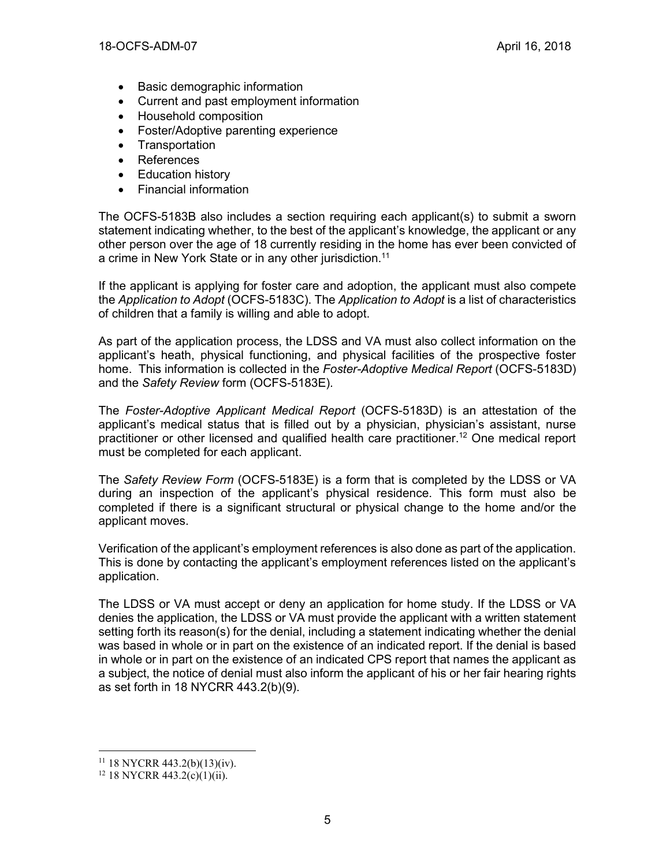- Basic demographic information
- Current and past employment information
- Household composition
- Foster/Adoptive parenting experience
- Transportation
- References
- Education history
- Financial information

The OCFS-5183B also includes a section requiring each applicant(s) to submit a sworn statement indicating whether, to the best of the applicant's knowledge, the applicant or any other person over the age of 18 currently residing in the home has ever been convicted of a crime in New York State or in any other jurisdiction.<sup>11</sup>

If the applicant is applying for foster care and adoption, the applicant must also compete the *Application to Adopt* (OCFS-5183C). The *Application to Adopt* is a list of characteristics of children that a family is willing and able to adopt.

As part of the application process, the LDSS and VA must also collect information on the applicant's heath, physical functioning, and physical facilities of the prospective foster home. This information is collected in the *Foster-Adoptive Medical Report* (OCFS-5183D) and the *Safety Review* form (OCFS-5183E).

The *Foster-Adoptive Applicant Medical Report* (OCFS-5183D) is an attestation of the applicant's medical status that is filled out by a physician, physician's assistant, nurse practitioner or other licensed and qualified health care practitioner. <sup>12</sup> One medical report must be completed for each applicant.

The *Safety Review Form* (OCFS-5183E) is a form that is completed by the LDSS or VA during an inspection of the applicant's physical residence. This form must also be completed if there is a significant structural or physical change to the home and/or the applicant moves.

Verification of the applicant's employment references is also done as part of the application. This is done by contacting the applicant's employment references listed on the applicant's application.

The LDSS or VA must accept or deny an application for home study. If the LDSS or VA denies the application, the LDSS or VA must provide the applicant with a written statement setting forth its reason(s) for the denial, including a statement indicating whether the denial was based in whole or in part on the existence of an indicated report. If the denial is based in whole or in part on the existence of an indicated CPS report that names the applicant as a subject, the notice of denial must also inform the applicant of his or her fair hearing rights as set forth in 18 NYCRR 443.2(b)(9).

 $11$  18 NYCRR 443.2(b)(13)(iv).

 $12$  18 NYCRR 443.2(c)(1)(ii).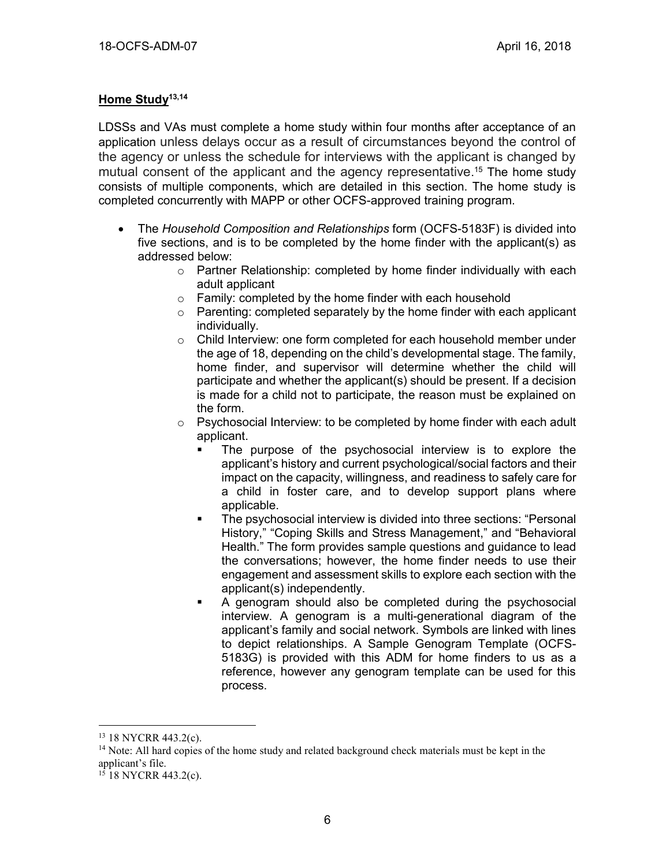#### **Home Study13,14**

LDSSs and VAs must complete a home study within four months after acceptance of an application unless delays occur as a result of circumstances beyond the control of the agency or unless the schedule for interviews with the applicant is changed by mutual consent of the applicant and the agency representative. <sup>15</sup> The home study consists of multiple components, which are detailed in this section. The home study is completed concurrently with MAPP or other OCFS-approved training program.

- The *Household Composition and Relationships* form (OCFS-5183F) is divided into five sections, and is to be completed by the home finder with the applicant(s) as addressed below:
	- o Partner Relationship: completed by home finder individually with each adult applicant
	- o Family: completed by the home finder with each household
	- $\circ$  Parenting: completed separately by the home finder with each applicant individually.
	- o Child Interview: one form completed for each household member under the age of 18, depending on the child's developmental stage. The family, home finder, and supervisor will determine whether the child will participate and whether the applicant(s) should be present. If a decision is made for a child not to participate, the reason must be explained on the form.
	- o Psychosocial Interview: to be completed by home finder with each adult applicant.
		- The purpose of the psychosocial interview is to explore the applicant's history and current psychological/social factors and their impact on the capacity, willingness, and readiness to safely care for a child in foster care, and to develop support plans where applicable.
		- The psychosocial interview is divided into three sections: "Personal History," "Coping Skills and Stress Management," and "Behavioral Health." The form provides sample questions and guidance to lead the conversations; however, the home finder needs to use their engagement and assessment skills to explore each section with the applicant(s) independently.
		- A genogram should also be completed during the psychosocial interview. A genogram is a multi-generational diagram of the applicant's family and social network. Symbols are linked with lines to depict relationships. A Sample Genogram Template (OCFS-5183G) is provided with this ADM for home finders to us as a reference, however any genogram template can be used for this process.

<sup>13</sup> 18 NYCRR 443.2(c).

<sup>&</sup>lt;sup>14</sup> Note: All hard copies of the home study and related background check materials must be kept in the applicant's file.

 $15$  18 NYCRR 443.2(c).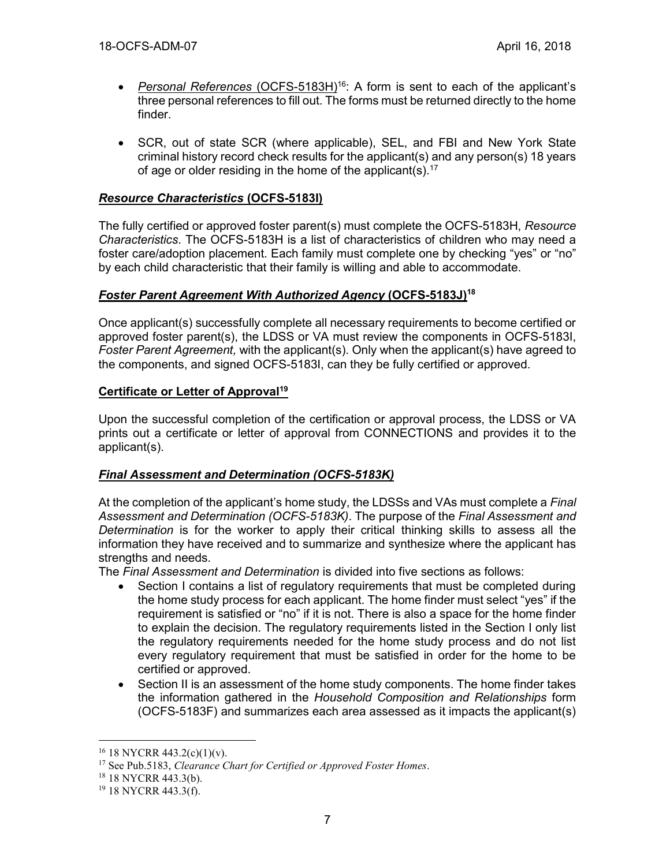- *Personal References* (OCFS-5183H) <sup>16</sup>: A form is sent to each of the applicant's three personal references to fill out. The forms must be returned directly to the home finder.
- SCR, out of state SCR (where applicable), SEL, and FBI and New York State criminal history record check results for the applicant(s) and any person(s) 18 years of age or older residing in the home of the applicant(s).<sup>17</sup>

## *Resource Characteristics* **(OCFS-5183I)**

The fully certified or approved foster parent(s) must complete the OCFS-5183H, *Resource Characteristics*. The OCFS-5183H is a list of characteristics of children who may need a foster care/adoption placement. Each family must complete one by checking "yes" or "no" by each child characteristic that their family is willing and able to accommodate.

#### *Foster Parent Agreement With Authorized Agency* **(OCFS-5183J) 18**

Once applicant(s) successfully complete all necessary requirements to become certified or approved foster parent(s), the LDSS or VA must review the components in OCFS-5183I, *Foster Parent Agreement,* with the applicant(s). Only when the applicant(s) have agreed to the components, and signed OCFS-5183I, can they be fully certified or approved.

## **Certificate or Letter of Approval<sup>19</sup>**

Upon the successful completion of the certification or approval process, the LDSS or VA prints out a certificate or letter of approval from CONNECTIONS and provides it to the applicant(s).

#### *Final Assessment and Determination (OCFS-5183K)*

At the completion of the applicant's home study, the LDSSs and VAs must complete a *Final Assessment and Determination (OCFS-5183K)*. The purpose of the *Final Assessment and Determination* is for the worker to apply their critical thinking skills to assess all the information they have received and to summarize and synthesize where the applicant has strengths and needs.

The *Final Assessment and Determination* is divided into five sections as follows:

- Section I contains a list of regulatory requirements that must be completed during the home study process for each applicant. The home finder must select "yes" if the requirement is satisfied or "no" if it is not. There is also a space for the home finder to explain the decision. The regulatory requirements listed in the Section I only list the regulatory requirements needed for the home study process and do not list every regulatory requirement that must be satisfied in order for the home to be certified or approved.
- Section II is an assessment of the home study components. The home finder takes the information gathered in the *Household Composition and Relationships* form (OCFS-5183F) and summarizes each area assessed as it impacts the applicant(s)

 $16$  18 NYCRR 443.2(c)(1)(v).

<sup>17</sup> See Pub.5183, *Clearance Chart for Certified or Approved Foster Homes*.

<sup>18</sup> 18 NYCRR 443.3(b).

<sup>19</sup> 18 NYCRR 443.3(f).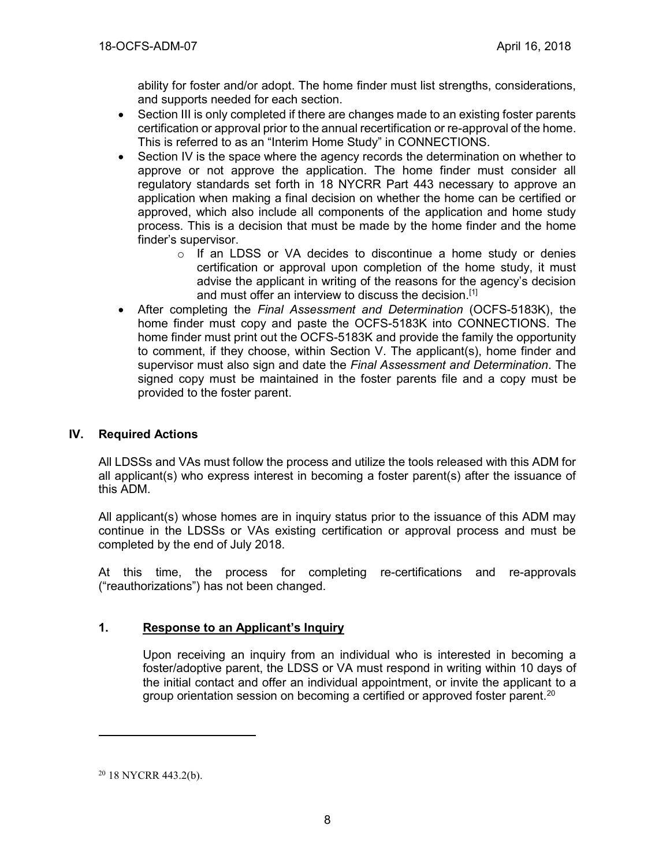ability for foster and/or adopt. The home finder must list strengths, considerations, and supports needed for each section.

- Section III is only completed if there are changes made to an existing foster parents certification or approval prior to the annual recertification or re-approval of the home. This is referred to as an "Interim Home Study" in CONNECTIONS.
- Section IV is the space where the agency records the determination on whether to approve or not approve the application. The home finder must consider all regulatory standards set forth in 18 NYCRR Part 443 necessary to approve an application when making a final decision on whether the home can be certified or approved, which also include all components of the application and home study process. This is a decision that must be made by the home finder and the home finder's supervisor.
	- o If an LDSS or VA decides to discontinue a home study or denies certification or approval upon completion of the home study, it must advise the applicant in writing of the reasons for the agency's decision and must offer an interview to discuss the decision.<sup>[1]</sup>
- After completing the *Final Assessment and Determination* (OCFS-5183K), the home finder must copy and paste the OCFS-5183K into CONNECTIONS. The home finder must print out the OCFS-5183K and provide the family the opportunity to comment, if they choose, within Section V. The applicant(s), home finder and supervisor must also sign and date the *Final Assessment and Determination*. The signed copy must be maintained in the foster parents file and a copy must be provided to the foster parent.

## **IV. Required Actions**

All LDSSs and VAs must follow the process and utilize the tools released with this ADM for all applicant(s) who express interest in becoming a foster parent(s) after the issuance of this ADM.

All applicant(s) whose homes are in inquiry status prior to the issuance of this ADM may continue in the LDSSs or VAs existing certification or approval process and must be completed by the end of July 2018.

At this time, the process for completing re-certifications and re-approvals ("reauthorizations") has not been changed.

#### **1. Response to an Applicant's Inquiry**

Upon receiving an inquiry from an individual who is interested in becoming a foster/adoptive parent, the LDSS or VA must respond in writing within 10 days of the initial contact and offer an individual appointment, or invite the applicant to a group orientation session on becoming a certified or approved foster parent.<sup>20</sup>

<sup>20</sup> 18 NYCRR 443.2(b).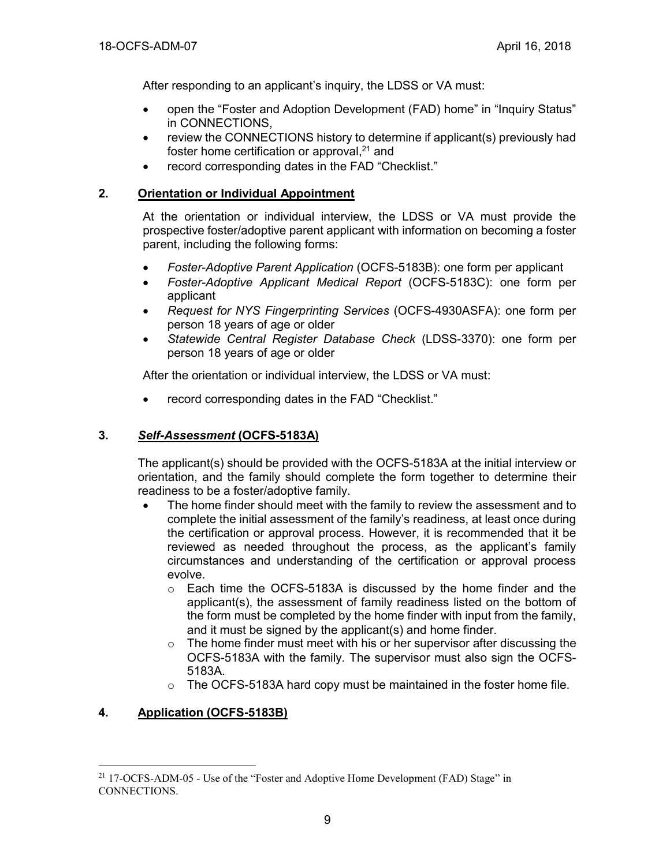After responding to an applicant's inquiry, the LDSS or VA must:

- open the "Foster and Adoption Development (FAD) home" in "Inquiry Status" in CONNECTIONS,
- review the CONNECTIONS history to determine if applicant(s) previously had foster home certification or approval,<sup>21</sup> and
- record corresponding dates in the FAD "Checklist."

## **2. Orientation or Individual Appointment**

At the orientation or individual interview, the LDSS or VA must provide the prospective foster/adoptive parent applicant with information on becoming a foster parent, including the following forms:

- *Foster-Adoptive Parent Application* (OCFS-5183B): one form per applicant
- *Foster-Adoptive Applicant Medical Report* (OCFS-5183C): one form per applicant
- *Request for NYS Fingerprinting Services* (OCFS-4930ASFA): one form per person 18 years of age or older
- *Statewide Central Register Database Check* (LDSS-3370): one form per person 18 years of age or older

After the orientation or individual interview, the LDSS or VA must:

• record corresponding dates in the FAD "Checklist."

#### **3.** *Self-Assessment* **(OCFS-5183A)**

The applicant(s) should be provided with the OCFS-5183A at the initial interview or orientation, and the family should complete the form together to determine their readiness to be a foster/adoptive family.

- The home finder should meet with the family to review the assessment and to complete the initial assessment of the family's readiness, at least once during the certification or approval process. However, it is recommended that it be reviewed as needed throughout the process, as the applicant's family circumstances and understanding of the certification or approval process evolve.
	- $\circ$  Each time the OCFS-5183A is discussed by the home finder and the applicant(s), the assessment of family readiness listed on the bottom of the form must be completed by the home finder with input from the family, and it must be signed by the applicant(s) and home finder.
	- $\circ$  The home finder must meet with his or her supervisor after discussing the OCFS-5183A with the family. The supervisor must also sign the OCFS-5183A.
	- o The OCFS-5183A hard copy must be maintained in the foster home file.

# **4. Application (OCFS-5183B)**

<sup>21</sup> 17-OCFS-ADM-05 - Use of the "Foster and Adoptive Home Development (FAD) Stage" in CONNECTIONS.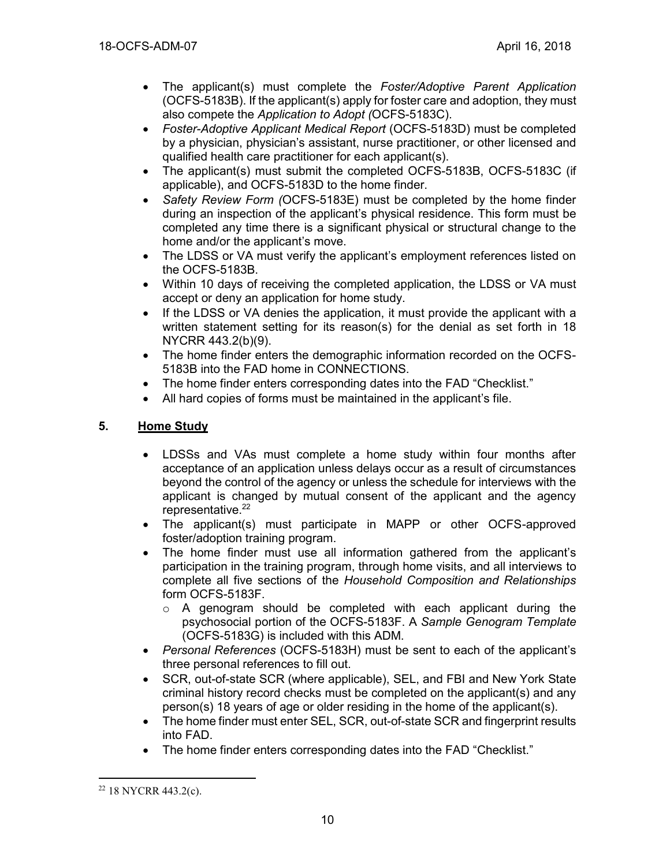- The applicant(s) must complete the *Foster/Adoptive Parent Application* (OCFS-5183B). If the applicant(s) apply for foster care and adoption, they must also compete the *Application to Adopt (*OCFS-5183C).
- *Foster-Adoptive Applicant Medical Report* (OCFS-5183D) must be completed by a physician, physician's assistant, nurse practitioner, or other licensed and qualified health care practitioner for each applicant(s).
- The applicant(s) must submit the completed OCFS-5183B, OCFS-5183C (if applicable), and OCFS-5183D to the home finder.
- *Safety Review Form (*OCFS-5183E) must be completed by the home finder during an inspection of the applicant's physical residence. This form must be completed any time there is a significant physical or structural change to the home and/or the applicant's move.
- The LDSS or VA must verify the applicant's employment references listed on the OCFS-5183B.
- Within 10 days of receiving the completed application, the LDSS or VA must accept or deny an application for home study.
- If the LDSS or VA denies the application, it must provide the applicant with a written statement setting for its reason(s) for the denial as set forth in 18 NYCRR 443.2(b)(9).
- The home finder enters the demographic information recorded on the OCFS-5183B into the FAD home in CONNECTIONS.
- The home finder enters corresponding dates into the FAD "Checklist."
- All hard copies of forms must be maintained in the applicant's file.

# **5. Home Study**

- LDSSs and VAs must complete a home study within four months after acceptance of an application unless delays occur as a result of circumstances beyond the control of the agency or unless the schedule for interviews with the applicant is changed by mutual consent of the applicant and the agency representative.<sup>22</sup>
- The applicant(s) must participate in MAPP or other OCFS-approved foster/adoption training program.
- The home finder must use all information gathered from the applicant's participation in the training program, through home visits, and all interviews to complete all five sections of the *Household Composition and Relationships* form OCFS-5183F.
	- $\circ$  A genogram should be completed with each applicant during the psychosocial portion of the OCFS-5183F. A *Sample Genogram Template* (OCFS-5183G) is included with this ADM.
- *Personal References* (OCFS-5183H) must be sent to each of the applicant's three personal references to fill out.
- SCR, out-of-state SCR (where applicable), SEL, and FBI and New York State criminal history record checks must be completed on the applicant(s) and any person(s) 18 years of age or older residing in the home of the applicant(s).
- The home finder must enter SEL, SCR, out-of-state SCR and fingerprint results into FAD.
- The home finder enters corresponding dates into the FAD "Checklist."

<sup>22</sup> 18 NYCRR 443.2(c).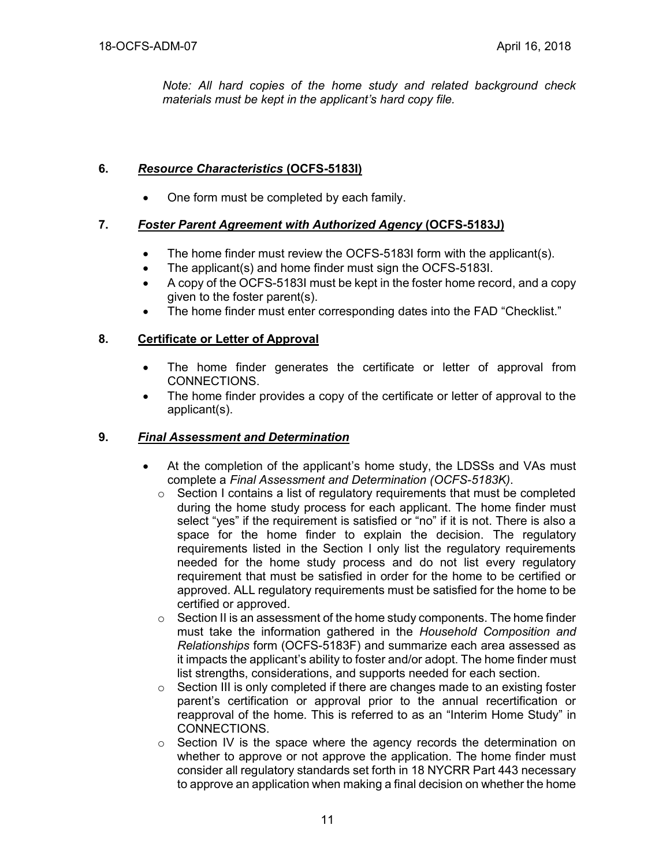*Note: All hard copies of the home study and related background check materials must be kept in the applicant's hard copy file.*

# **6.** *Resource Characteristics* **(OCFS-5183I)**

• One form must be completed by each family.

# **7.** *Foster Parent Agreement with Authorized Agency* **(OCFS-5183J)**

- The home finder must review the OCFS-5183I form with the applicant(s).
- The applicant(s) and home finder must sign the OCFS-5183I.
- A copy of the OCFS-5183I must be kept in the foster home record, and a copy given to the foster parent(s).
- The home finder must enter corresponding dates into the FAD "Checklist."

## **8. Certificate or Letter of Approval**

- The home finder generates the certificate or letter of approval from CONNECTIONS.
- The home finder provides a copy of the certificate or letter of approval to the applicant(s).

#### **9.** *Final Assessment and Determination*

- At the completion of the applicant's home study, the LDSSs and VAs must complete a *Final Assessment and Determination (OCFS-5183K)*.
	- $\circ$  Section I contains a list of regulatory requirements that must be completed during the home study process for each applicant. The home finder must select "yes" if the requirement is satisfied or "no" if it is not. There is also a space for the home finder to explain the decision. The regulatory requirements listed in the Section I only list the regulatory requirements needed for the home study process and do not list every regulatory requirement that must be satisfied in order for the home to be certified or approved. ALL regulatory requirements must be satisfied for the home to be certified or approved.
	- $\circ$  Section II is an assessment of the home study components. The home finder must take the information gathered in the *Household Composition and Relationships* form (OCFS-5183F) and summarize each area assessed as it impacts the applicant's ability to foster and/or adopt. The home finder must list strengths, considerations, and supports needed for each section.
	- $\circ$  Section III is only completed if there are changes made to an existing foster parent's certification or approval prior to the annual recertification or reapproval of the home. This is referred to as an "Interim Home Study" in CONNECTIONS.
	- $\circ$  Section IV is the space where the agency records the determination on whether to approve or not approve the application. The home finder must consider all regulatory standards set forth in 18 NYCRR Part 443 necessary to approve an application when making a final decision on whether the home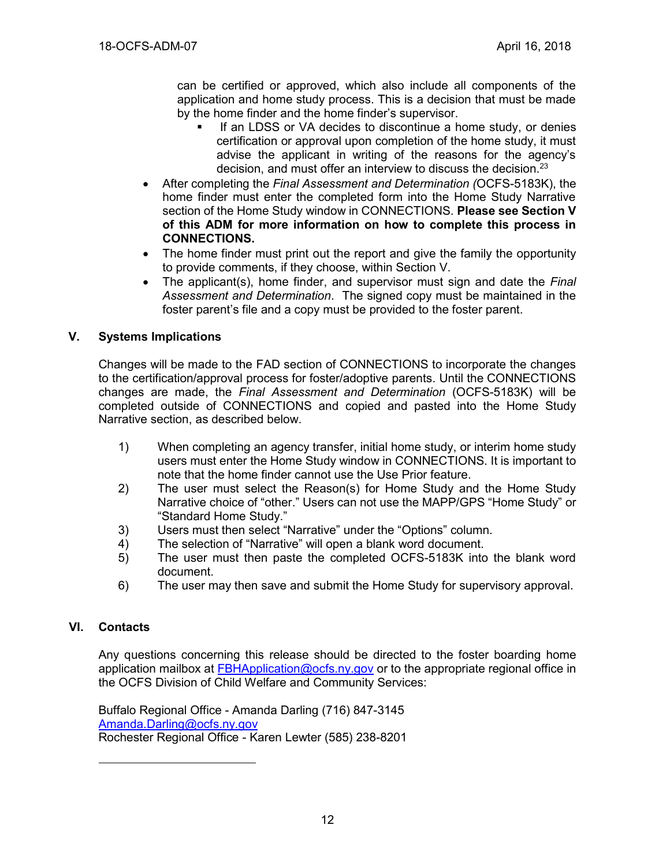can be certified or approved, which also include all components of the application and home study process. This is a decision that must be made by the home finder and the home finder's supervisor.

- If an LDSS or VA decides to discontinue a home study, or denies certification or approval upon completion of the home study, it must advise the applicant in writing of the reasons for the agency's decision, and must offer an interview to discuss the decision.<sup>23</sup>
- After completing the *Final Assessment and Determination (*OCFS-5183K), the home finder must enter the completed form into the Home Study Narrative section of the Home Study window in CONNECTIONS. **Please see Section V of this ADM for more information on how to complete this process in CONNECTIONS.**
- The home finder must print out the report and give the family the opportunity to provide comments, if they choose, within Section V.
- The applicant(s), home finder, and supervisor must sign and date the *Final Assessment and Determination*. The signed copy must be maintained in the foster parent's file and a copy must be provided to the foster parent.

## **V. Systems Implications**

Changes will be made to the FAD section of CONNECTIONS to incorporate the changes to the certification/approval process for foster/adoptive parents. Until the CONNECTIONS changes are made, the *Final Assessment and Determination* (OCFS-5183K) will be completed outside of CONNECTIONS and copied and pasted into the Home Study Narrative section, as described below.

- 1) When completing an agency transfer, initial home study, or interim home study users must enter the Home Study window in CONNECTIONS. It is important to note that the home finder cannot use the Use Prior feature.
- 2) The user must select the Reason(s) for Home Study and the Home Study Narrative choice of "other." Users can not use the MAPP/GPS "Home Study" or "Standard Home Study."
- 3) Users must then select "Narrative" under the "Options" column.
- 4) The selection of "Narrative" will open a blank word document.
- 5) The user must then paste the completed OCFS-5183K into the blank word document.
- 6) The user may then save and submit the Home Study for supervisory approval.

#### **VI. Contacts**

 $\overline{a}$ 

Any questions concerning this release should be directed to the foster boarding home application mailbox at [FBHApplication@ocfs.ny.gov](mailto:FBHApplication@ocfs.ny.gov) or to the appropriate regional office in the OCFS Division of Child Welfare and Community Services:

Buffalo Regional Office - Amanda Darling (716) 847-3145 [Amanda.Darling@ocfs.ny.gov](mailto:Amanda.Darling@ocfs.ny.gov) Rochester Regional Office - Karen Lewter (585) 238-8201